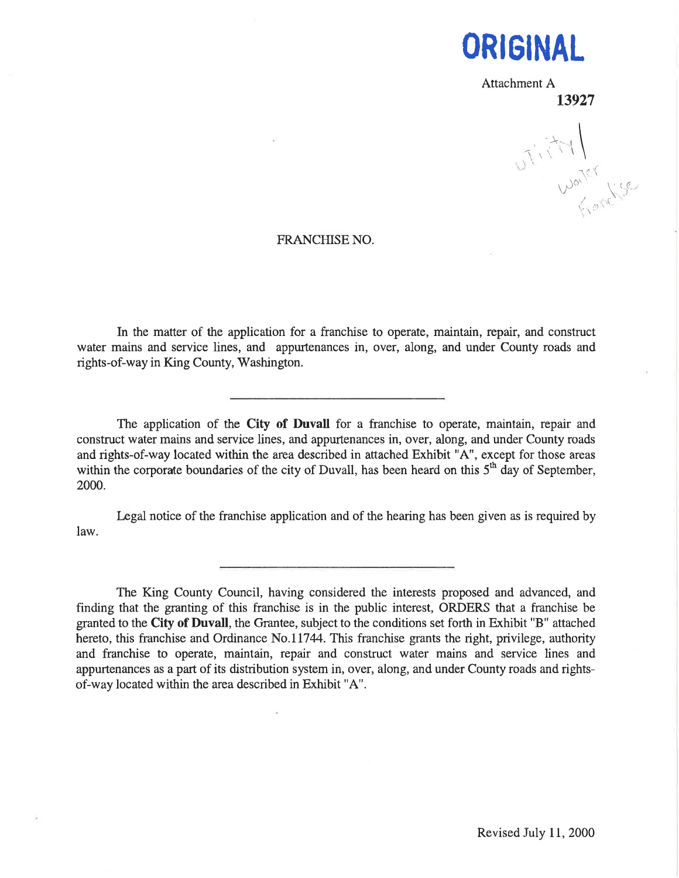

Attachment A 13927

r i i i î<br>I î li

,ô¡ '

 $\langle$ 

 $\zeta, \, \phi$ 

 $\sqrt{2}$ 

#### FRANCHISE NO.

In the matter of the application for a franchise to operate, maintain, repair, and construct water mains and service lines, and appurtenances in, over, along, and under County roads and rights-of-way in King County, Washington.

The application of the City of Duvall for a franchise to operate, maintain, repair and construct water mains and service lines, and appurtenances in, over, along, and under County roads and rights-of-way located within the area described in attached Exhibit "A", except for those areas within the corporate boundaries of the city of Duvall, has been heard on this  $5<sup>th</sup>$  day of September, 2000.

Legal notice of the franchise application and of the hearing has been given as is required by law.

The King County Council, having considered the interests proposed and advanced, and finding that the granting of this franchise is in the public interest, ORDERS that a franchise be granted to the City of Duvall, the Grantee, subject to the conditions set forth in Exhibit "8" attached hereto, this franchise and Ordinance No.11744. This franchise grants the right, privilege, authority and franchise to operate, maintain, repair and construct water mains and service lines and appurtenanees as apart of its distribution system in, over, along, and under County roads and rightsof-way located within the area described in Exhibit "4".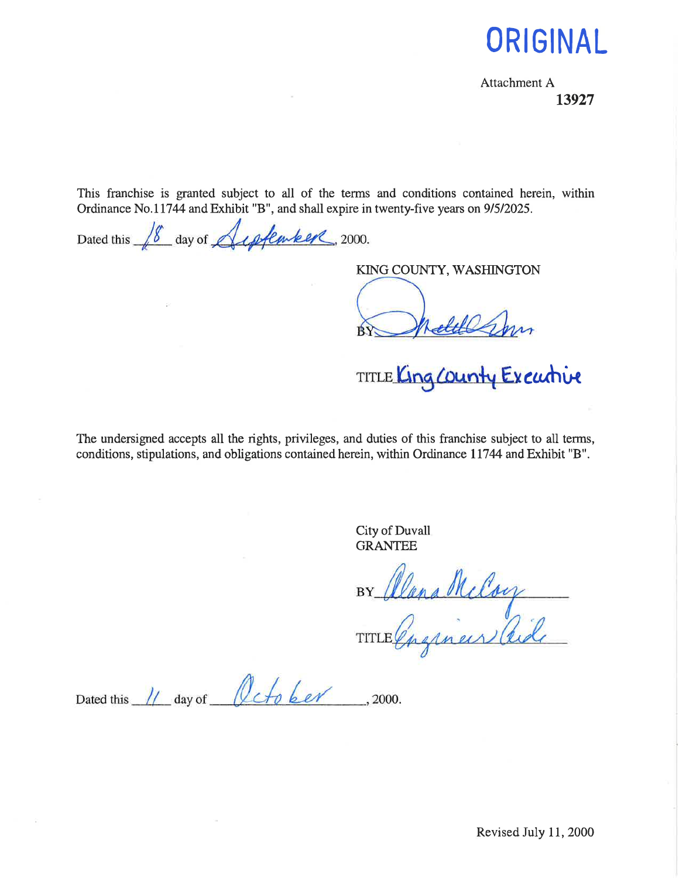## ORIGINAL

Attachment A L3927

This franchise is granted subject to all of the terms and conditions contained herein, within Ordinance No.11744 and Exhibit "B", and shall expire in twenty-five years on 9/5/2025.

Dated this 18 day of Aupfember 2000.

KING COUNTY, WASHINGTON

TITLE Ling County Executive

The undersigned accepts all the rights, privileges, and duties of this franchise subject to all terms, conditions, stipulations, and obligations contained herein, within Ordinance 11744 and Exhibit "B".

> City of Duvall GRANTEE

BY Clana Miloy

Dated this  $11$  day of  $Qcto$  ker, 2000.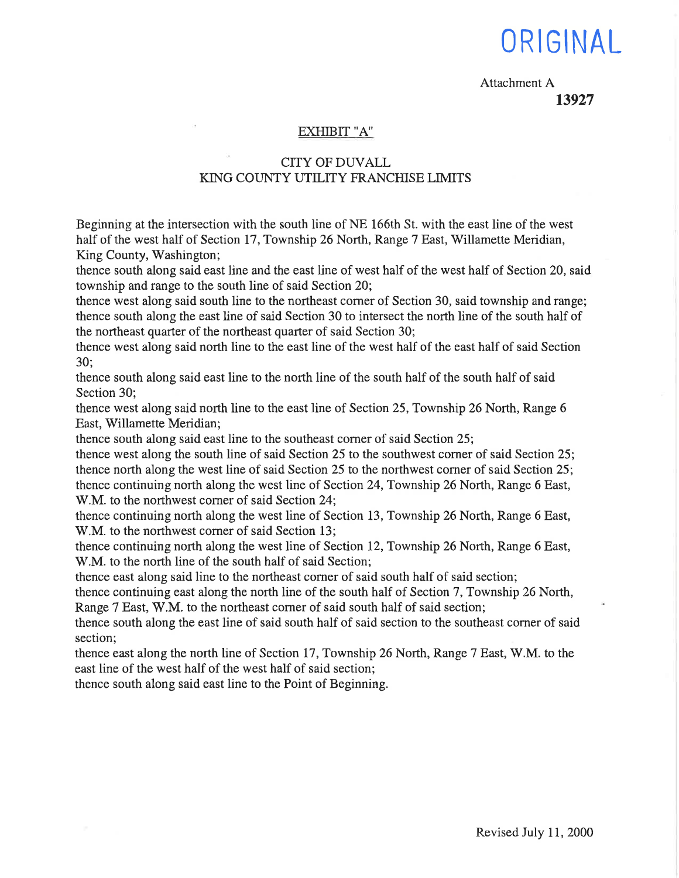# ORIGINAL

Attachment A 13927

### EXHIBIT ''A''

## CITY OF DUVALL KING COUNTY UTILITY FRANCHISE LIMITS

Beginning at the intersection with the south line of NE 166th St. with the east line of the west half of the west half of Section 17, Township 26 North, Range 7 East, Willamette Meridian, King County, Washington;

thence south along said east line and the east line of west half of the west half of Section 20, said township and range to the south line of said Section 20;

thence west along said south line to the northeast corner of Section 30, said township and range; thence south along the east line of said Section 30 to intersect the north line of the south half of the northeast quarter of the northeast quarter of said Section 30;

thence west along said north line to the east line of the west half of the east half of said Section 30;

thence south along said east line to the north line of the south half of the south half of said Section 30;

thence west along said north line to the east line of Section 25, Township 26 North, Range 6 East, Willamette Meridian;

thence south along said east line to the southeast corner of said Section 25;

thence west along the south line of said Section25 to the southwest corner of said Section 25; thence north along the west line of said Section 25 to the northwest corner of said Section 25; thence continuing north along the west line of Section 24, Township 26 North, Range 6 East, W.M. to the northwest corner of said Section 24;

thence continuing north along the west line of Section 13, Township 26 North, Range 6 East, W.M. to the northwest corner of said Section 13;

thence continuing north along the west line of Section 12, Township 26 North, Range 6 East, W.M. to the north line of the south half of said Section;

thence east along said line to the northeast corner of said south half of said section;

thence continuing east along the north line of the south half of Section 7, Township 26 North, Range 7 East, W.M. to the northeast corner of said south half of said section;

thence south along the east line of said south half of said section to the southeast corner of said section;

thence east along the north line of Section 17, Township 26 North, Range 7 East, W.M. to the east line of the west half of the west half of said section;

thence south along said east line to the Point of Beginning.